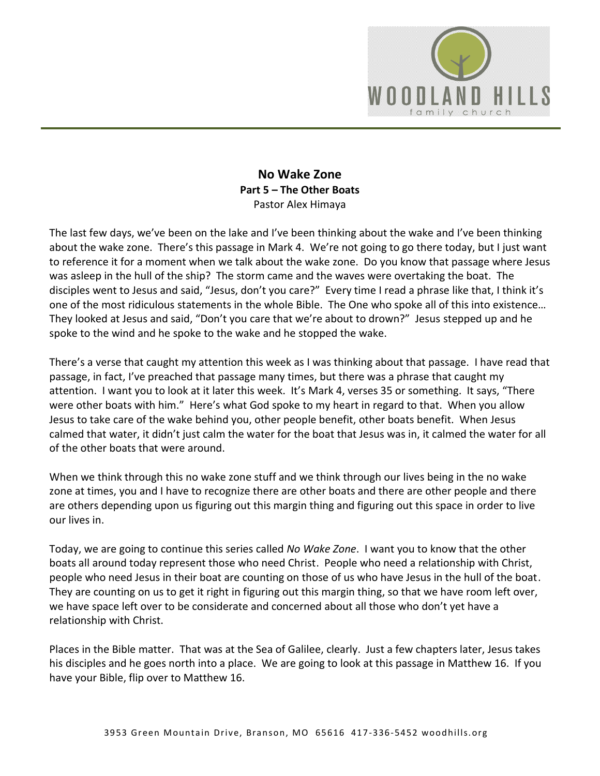

## **No Wake Zone Part 5 – The Other Boats**  Pastor Alex Himaya

The last few days, we've been on the lake and I've been thinking about the wake and I've been thinking about the wake zone. There's this passage in Mark 4. We're not going to go there today, but I just want to reference it for a moment when we talk about the wake zone. Do you know that passage where Jesus was asleep in the hull of the ship? The storm came and the waves were overtaking the boat. The disciples went to Jesus and said, "Jesus, don't you care?" Every time I read a phrase like that, I think it's one of the most ridiculous statements in the whole Bible. The One who spoke all of this into existence… They looked at Jesus and said, "Don't you care that we're about to drown?" Jesus stepped up and he spoke to the wind and he spoke to the wake and he stopped the wake.

There's a verse that caught my attention this week as I was thinking about that passage. I have read that passage, in fact, I've preached that passage many times, but there was a phrase that caught my attention. I want you to look at it later this week. It's Mark 4, verses 35 or something. It says, "There were other boats with him." Here's what God spoke to my heart in regard to that. When you allow Jesus to take care of the wake behind you, other people benefit, other boats benefit. When Jesus calmed that water, it didn't just calm the water for the boat that Jesus was in, it calmed the water for all of the other boats that were around.

When we think through this no wake zone stuff and we think through our lives being in the no wake zone at times, you and I have to recognize there are other boats and there are other people and there are others depending upon us figuring out this margin thing and figuring out this space in order to live our lives in.

Today, we are going to continue this series called *No Wake Zone*. I want you to know that the other boats all around today represent those who need Christ. People who need a relationship with Christ, people who need Jesus in their boat are counting on those of us who have Jesus in the hull of the boat. They are counting on us to get it right in figuring out this margin thing, so that we have room left over, we have space left over to be considerate and concerned about all those who don't yet have a relationship with Christ.

Places in the Bible matter. That was at the Sea of Galilee, clearly. Just a few chapters later, Jesus takes his disciples and he goes north into a place. We are going to look at this passage in Matthew 16. If you have your Bible, flip over to Matthew 16.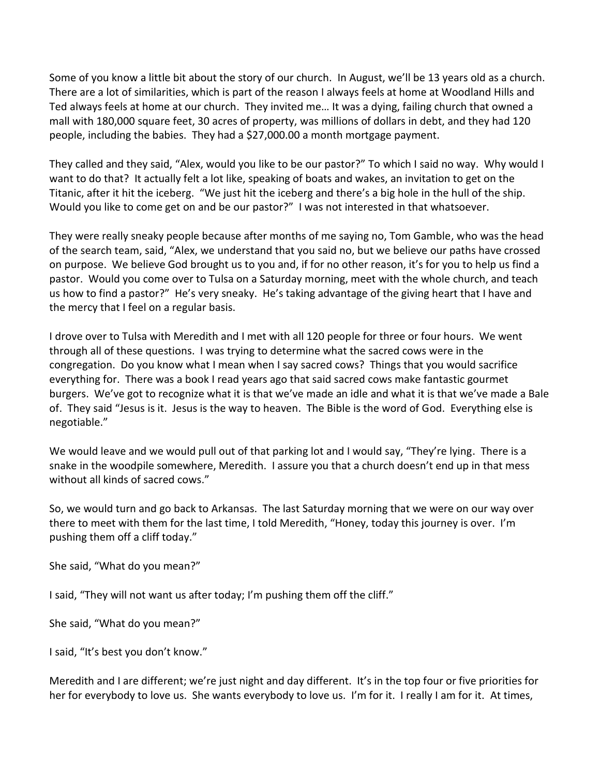Some of you know a little bit about the story of our church. In August, we'll be 13 years old as a church. There are a lot of similarities, which is part of the reason I always feels at home at Woodland Hills and Ted always feels at home at our church. They invited me… It was a dying, failing church that owned a mall with 180,000 square feet, 30 acres of property, was millions of dollars in debt, and they had 120 people, including the babies. They had a \$27,000.00 a month mortgage payment.

They called and they said, "Alex, would you like to be our pastor?" To which I said no way. Why would I want to do that? It actually felt a lot like, speaking of boats and wakes, an invitation to get on the Titanic, after it hit the iceberg. "We just hit the iceberg and there's a big hole in the hull of the ship. Would you like to come get on and be our pastor?" I was not interested in that whatsoever.

They were really sneaky people because after months of me saying no, Tom Gamble, who was the head of the search team, said, "Alex, we understand that you said no, but we believe our paths have crossed on purpose. We believe God brought us to you and, if for no other reason, it's for you to help us find a pastor. Would you come over to Tulsa on a Saturday morning, meet with the whole church, and teach us how to find a pastor?" He's very sneaky. He's taking advantage of the giving heart that I have and the mercy that I feel on a regular basis.

I drove over to Tulsa with Meredith and I met with all 120 people for three or four hours. We went through all of these questions. I was trying to determine what the sacred cows were in the congregation. Do you know what I mean when I say sacred cows? Things that you would sacrifice everything for. There was a book I read years ago that said sacred cows make fantastic gourmet burgers. We've got to recognize what it is that we've made an idle and what it is that we've made a Bale of. They said "Jesus is it. Jesus is the way to heaven. The Bible is the word of God. Everything else is negotiable."

We would leave and we would pull out of that parking lot and I would say, "They're lying. There is a snake in the woodpile somewhere, Meredith. I assure you that a church doesn't end up in that mess without all kinds of sacred cows."

So, we would turn and go back to Arkansas. The last Saturday morning that we were on our way over there to meet with them for the last time, I told Meredith, "Honey, today this journey is over. I'm pushing them off a cliff today."

She said, "What do you mean?"

I said, "They will not want us after today; I'm pushing them off the cliff."

She said, "What do you mean?"

I said, "It's best you don't know."

Meredith and I are different; we're just night and day different. It's in the top four or five priorities for her for everybody to love us. She wants everybody to love us. I'm for it. I really I am for it. At times,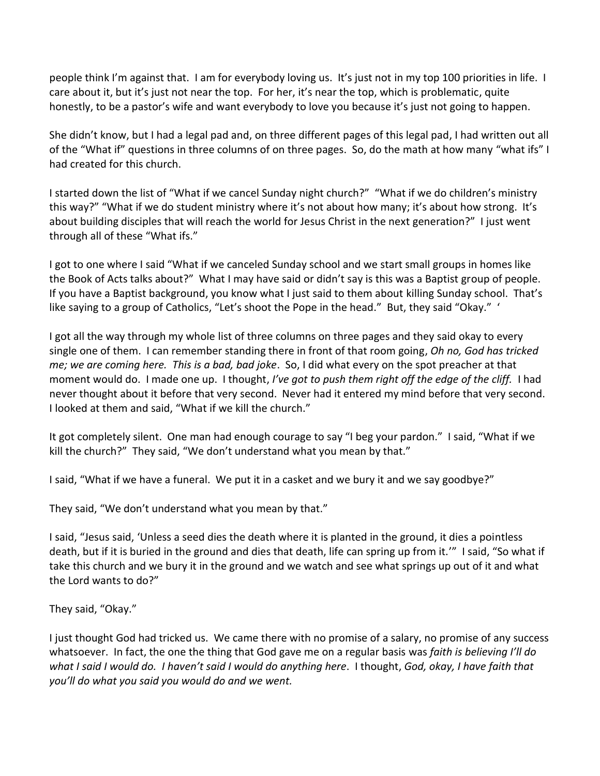people think I'm against that. I am for everybody loving us. It's just not in my top 100 priorities in life. I care about it, but it's just not near the top. For her, it's near the top, which is problematic, quite honestly, to be a pastor's wife and want everybody to love you because it's just not going to happen.

She didn't know, but I had a legal pad and, on three different pages of this legal pad, I had written out all of the "What if" questions in three columns of on three pages. So, do the math at how many "what ifs" I had created for this church.

I started down the list of "What if we cancel Sunday night church?" "What if we do children's ministry this way?" "What if we do student ministry where it's not about how many; it's about how strong. It's about building disciples that will reach the world for Jesus Christ in the next generation?" I just went through all of these "What ifs."

I got to one where I said "What if we canceled Sunday school and we start small groups in homes like the Book of Acts talks about?" What I may have said or didn't say is this was a Baptist group of people. If you have a Baptist background, you know what I just said to them about killing Sunday school. That's like saying to a group of Catholics, "Let's shoot the Pope in the head." But, they said "Okay." '

I got all the way through my whole list of three columns on three pages and they said okay to every single one of them. I can remember standing there in front of that room going, *Oh no, God has tricked me; we are coming here. This is a bad, bad joke*. So, I did what every on the spot preacher at that moment would do. I made one up. I thought, *I've got to push them right off the edge of the cliff.* I had never thought about it before that very second. Never had it entered my mind before that very second. I looked at them and said, "What if we kill the church."

It got completely silent. One man had enough courage to say "I beg your pardon." I said, "What if we kill the church?" They said, "We don't understand what you mean by that."

I said, "What if we have a funeral. We put it in a casket and we bury it and we say goodbye?"

They said, "We don't understand what you mean by that."

I said, "Jesus said, 'Unless a seed dies the death where it is planted in the ground, it dies a pointless death, but if it is buried in the ground and dies that death, life can spring up from it.'" I said, "So what if take this church and we bury it in the ground and we watch and see what springs up out of it and what the Lord wants to do?"

They said, "Okay."

I just thought God had tricked us. We came there with no promise of a salary, no promise of any success whatsoever. In fact, the one the thing that God gave me on a regular basis was *faith is believing I'll do what I said I would do. I haven't said I would do anything here*. I thought, *God, okay, I have faith that you'll do what you said you would do and we went.*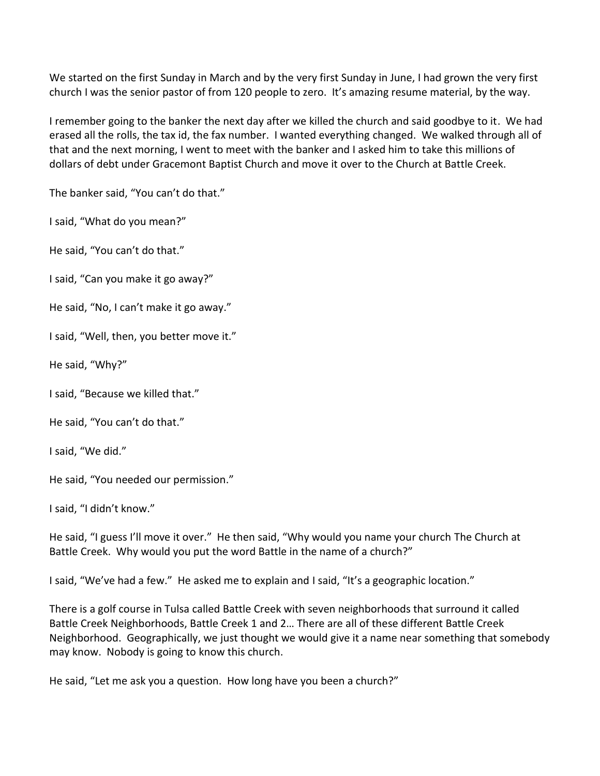We started on the first Sunday in March and by the very first Sunday in June, I had grown the very first church I was the senior pastor of from 120 people to zero. It's amazing resume material, by the way.

I remember going to the banker the next day after we killed the church and said goodbye to it. We had erased all the rolls, the tax id, the fax number. I wanted everything changed. We walked through all of that and the next morning, I went to meet with the banker and I asked him to take this millions of dollars of debt under Gracemont Baptist Church and move it over to the Church at Battle Creek.

The banker said, "You can't do that."

I said, "What do you mean?"

He said, "You can't do that."

I said, "Can you make it go away?"

He said, "No, I can't make it go away."

I said, "Well, then, you better move it."

He said, "Why?"

I said, "Because we killed that."

He said, "You can't do that."

I said, "We did."

He said, "You needed our permission."

I said, "I didn't know."

He said, "I guess I'll move it over." He then said, "Why would you name your church The Church at Battle Creek. Why would you put the word Battle in the name of a church?"

I said, "We've had a few." He asked me to explain and I said, "It's a geographic location."

There is a golf course in Tulsa called Battle Creek with seven neighborhoods that surround it called Battle Creek Neighborhoods, Battle Creek 1 and 2… There are all of these different Battle Creek Neighborhood. Geographically, we just thought we would give it a name near something that somebody may know. Nobody is going to know this church.

He said, "Let me ask you a question. How long have you been a church?"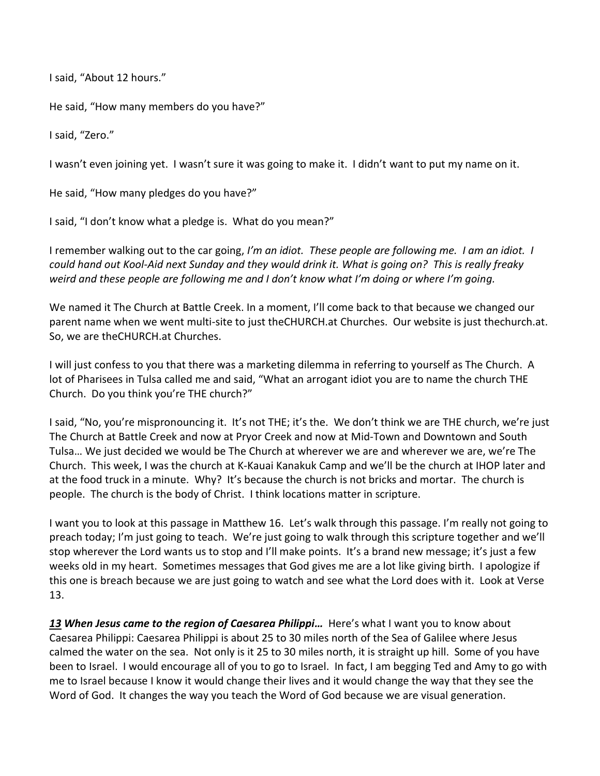I said, "About 12 hours."

He said, "How many members do you have?"

I said, "Zero."

I wasn't even joining yet. I wasn't sure it was going to make it. I didn't want to put my name on it.

He said, "How many pledges do you have?"

I said, "I don't know what a pledge is. What do you mean?"

I remember walking out to the car going, *I'm an idiot. These people are following me. I am an idiot. I could hand out Kool-Aid next Sunday and they would drink it. What is going on? This is really freaky weird and these people are following me and I don't know what I'm doing or where I'm going.* 

We named it The Church at Battle Creek. In a moment, I'll come back to that because we changed our parent name when we went multi-site to just theCHURCH.at Churches. Our website is just thechurch.at. So, we are theCHURCH.at Churches.

I will just confess to you that there was a marketing dilemma in referring to yourself as The Church. A lot of Pharisees in Tulsa called me and said, "What an arrogant idiot you are to name the church THE Church. Do you think you're THE church?"

I said, "No, you're mispronouncing it. It's not THE; it's the. We don't think we are THE church, we're just The Church at Battle Creek and now at Pryor Creek and now at Mid-Town and Downtown and South Tulsa… We just decided we would be The Church at wherever we are and wherever we are, we're The Church. This week, I was the church at K-Kauai Kanakuk Camp and we'll be the church at IHOP later and at the food truck in a minute. Why? It's because the church is not bricks and mortar. The church is people. The church is the body of Christ. I think locations matter in scripture.

I want you to look at this passage in Matthew 16. Let's walk through this passage. I'm really not going to preach today; I'm just going to teach. We're just going to walk through this scripture together and we'll stop wherever the Lord wants us to stop and I'll make points. It's a brand new message; it's just a few weeks old in my heart. Sometimes messages that God gives me are a lot like giving birth. I apologize if this one is breach because we are just going to watch and see what the Lord does with it. Look at Verse 13.

*[13](http://www.studylight.org/desk/?q=mt%2016:13&t1=en_niv&sr=1) When Jesus came to the region of Caesarea Philippi…* Here's what I want you to know about Caesarea Philippi: Caesarea Philippi is about 25 to 30 miles north of the Sea of Galilee where Jesus calmed the water on the sea. Not only is it 25 to 30 miles north, it is straight up hill. Some of you have been to Israel. I would encourage all of you to go to Israel. In fact, I am begging Ted and Amy to go with me to Israel because I know it would change their lives and it would change the way that they see the Word of God. It changes the way you teach the Word of God because we are visual generation.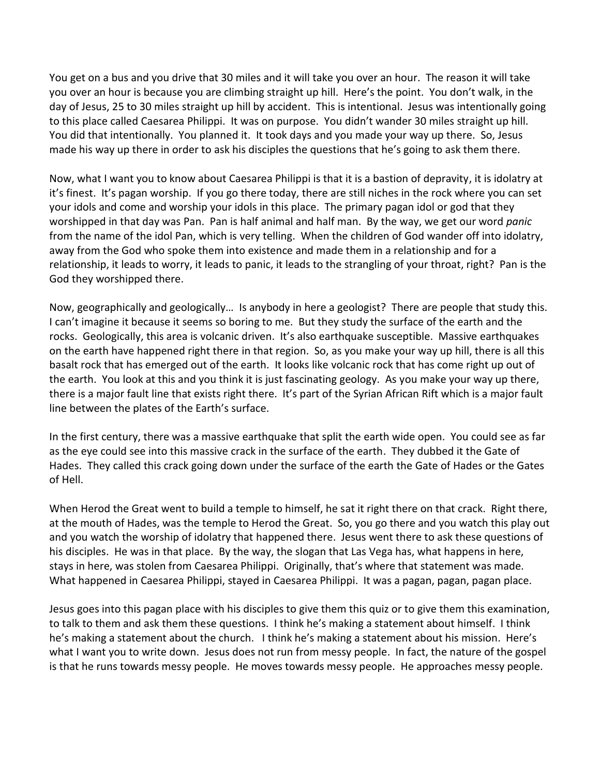You get on a bus and you drive that 30 miles and it will take you over an hour. The reason it will take you over an hour is because you are climbing straight up hill. Here's the point. You don't walk, in the day of Jesus, 25 to 30 miles straight up hill by accident. This is intentional. Jesus was intentionally going to this place called Caesarea Philippi. It was on purpose. You didn't wander 30 miles straight up hill. You did that intentionally. You planned it. It took days and you made your way up there. So, Jesus made his way up there in order to ask his disciples the questions that he's going to ask them there.

Now, what I want you to know about Caesarea Philippi is that it is a bastion of depravity, it is idolatry at it's finest. It's pagan worship. If you go there today, there are still niches in the rock where you can set your idols and come and worship your idols in this place. The primary pagan idol or god that they worshipped in that day was Pan. Pan is half animal and half man. By the way, we get our word *panic* from the name of the idol Pan, which is very telling. When the children of God wander off into idolatry, away from the God who spoke them into existence and made them in a relationship and for a relationship, it leads to worry, it leads to panic, it leads to the strangling of your throat, right? Pan is the God they worshipped there.

Now, geographically and geologically… Is anybody in here a geologist? There are people that study this. I can't imagine it because it seems so boring to me. But they study the surface of the earth and the rocks. Geologically, this area is volcanic driven. It's also earthquake susceptible. Massive earthquakes on the earth have happened right there in that region. So, as you make your way up hill, there is all this basalt rock that has emerged out of the earth. It looks like volcanic rock that has come right up out of the earth. You look at this and you think it is just fascinating geology. As you make your way up there, there is a major fault line that exists right there. It's part of the Syrian African Rift which is a major fault line between the plates of the Earth's surface.

In the first century, there was a massive earthquake that split the earth wide open. You could see as far as the eye could see into this massive crack in the surface of the earth. They dubbed it the Gate of Hades. They called this crack going down under the surface of the earth the Gate of Hades or the Gates of Hell.

When Herod the Great went to build a temple to himself, he sat it right there on that crack. Right there, at the mouth of Hades, was the temple to Herod the Great. So, you go there and you watch this play out and you watch the worship of idolatry that happened there. Jesus went there to ask these questions of his disciples. He was in that place. By the way, the slogan that Las Vega has, what happens in here, stays in here, was stolen from Caesarea Philippi. Originally, that's where that statement was made. What happened in Caesarea Philippi, stayed in Caesarea Philippi. It was a pagan, pagan, pagan place.

Jesus goes into this pagan place with his disciples to give them this quiz or to give them this examination, to talk to them and ask them these questions. I think he's making a statement about himself. I think he's making a statement about the church. I think he's making a statement about his mission. Here's what I want you to write down. Jesus does not run from messy people. In fact, the nature of the gospel is that he runs towards messy people. He moves towards messy people. He approaches messy people.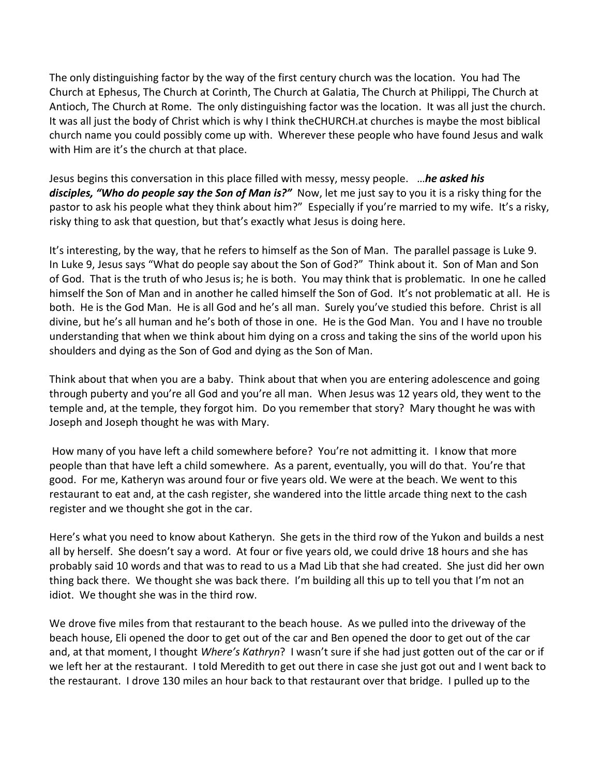The only distinguishing factor by the way of the first century church was the location. You had The Church at Ephesus, The Church at Corinth, The Church at Galatia, The Church at Philippi, The Church at Antioch, The Church at Rome. The only distinguishing factor was the location. It was all just the church. It was all just the body of Christ which is why I think theCHURCH.at churches is maybe the most biblical church name you could possibly come up with. Wherever these people who have found Jesus and walk with Him are it's the church at that place.

Jesus begins this conversation in this place filled with messy, messy people. …*he asked his disciples, "Who do people say the Son of Man is?"* Now, let me just say to you it is a risky thing for the pastor to ask his people what they think about him?" Especially if you're married to my wife. It's a risky, risky thing to ask that question, but that's exactly what Jesus is doing here.

It's interesting, by the way, that he refers to himself as the Son of Man. The parallel passage is Luke 9. In Luke 9, Jesus says "What do people say about the Son of God?" Think about it. Son of Man and Son of God. That is the truth of who Jesus is; he is both. You may think that is problematic. In one he called himself the Son of Man and in another he called himself the Son of God. It's not problematic at all. He is both. He is the God Man. He is all God and he's all man. Surely you've studied this before. Christ is all divine, but he's all human and he's both of those in one. He is the God Man. You and I have no trouble understanding that when we think about him dying on a cross and taking the sins of the world upon his shoulders and dying as the Son of God and dying as the Son of Man.

Think about that when you are a baby. Think about that when you are entering adolescence and going through puberty and you're all God and you're all man. When Jesus was 12 years old, they went to the temple and, at the temple, they forgot him. Do you remember that story? Mary thought he was with Joseph and Joseph thought he was with Mary.

How many of you have left a child somewhere before? You're not admitting it. I know that more people than that have left a child somewhere. As a parent, eventually, you will do that. You're that good. For me, Katheryn was around four or five years old. We were at the beach. We went to this restaurant to eat and, at the cash register, she wandered into the little arcade thing next to the cash register and we thought she got in the car.

Here's what you need to know about Katheryn. She gets in the third row of the Yukon and builds a nest all by herself. She doesn't say a word. At four or five years old, we could drive 18 hours and she has probably said 10 words and that was to read to us a Mad Lib that she had created. She just did her own thing back there. We thought she was back there. I'm building all this up to tell you that I'm not an idiot. We thought she was in the third row.

We drove five miles from that restaurant to the beach house. As we pulled into the driveway of the beach house, Eli opened the door to get out of the car and Ben opened the door to get out of the car and, at that moment, I thought *Where's Kathryn*? I wasn't sure if she had just gotten out of the car or if we left her at the restaurant. I told Meredith to get out there in case she just got out and I went back to the restaurant. I drove 130 miles an hour back to that restaurant over that bridge. I pulled up to the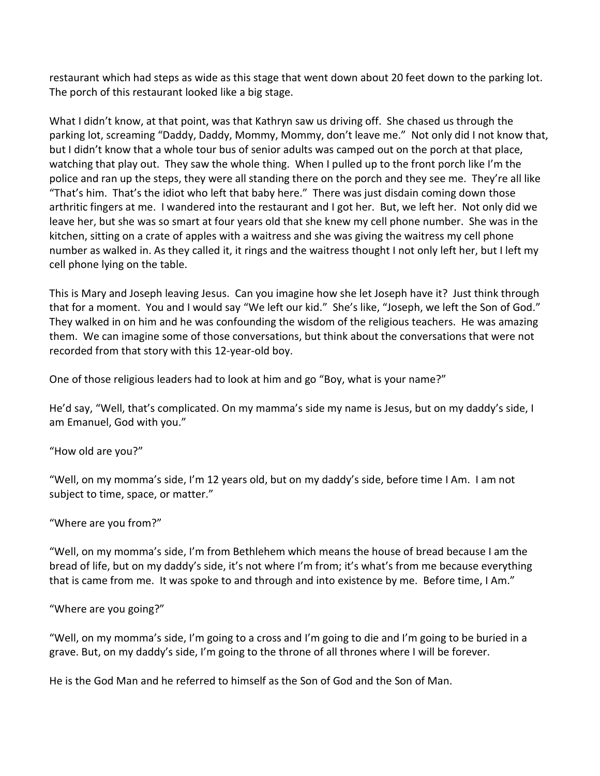restaurant which had steps as wide as this stage that went down about 20 feet down to the parking lot. The porch of this restaurant looked like a big stage.

What I didn't know, at that point, was that Kathryn saw us driving off. She chased us through the parking lot, screaming "Daddy, Daddy, Mommy, Mommy, don't leave me." Not only did I not know that, but I didn't know that a whole tour bus of senior adults was camped out on the porch at that place, watching that play out. They saw the whole thing. When I pulled up to the front porch like I'm the police and ran up the steps, they were all standing there on the porch and they see me. They're all like "That's him. That's the idiot who left that baby here." There was just disdain coming down those arthritic fingers at me. I wandered into the restaurant and I got her. But, we left her. Not only did we leave her, but she was so smart at four years old that she knew my cell phone number. She was in the kitchen, sitting on a crate of apples with a waitress and she was giving the waitress my cell phone number as walked in. As they called it, it rings and the waitress thought I not only left her, but I left my cell phone lying on the table.

This is Mary and Joseph leaving Jesus. Can you imagine how she let Joseph have it? Just think through that for a moment. You and I would say "We left our kid." She's like, "Joseph, we left the Son of God." They walked in on him and he was confounding the wisdom of the religious teachers. He was amazing them. We can imagine some of those conversations, but think about the conversations that were not recorded from that story with this 12-year-old boy.

One of those religious leaders had to look at him and go "Boy, what is your name?"

He'd say, "Well, that's complicated. On my mamma's side my name is Jesus, but on my daddy's side, I am Emanuel, God with you."

"How old are you?"

"Well, on my momma's side, I'm 12 years old, but on my daddy's side, before time I Am. I am not subject to time, space, or matter."

## "Where are you from?"

"Well, on my momma's side, I'm from Bethlehem which means the house of bread because I am the bread of life, but on my daddy's side, it's not where I'm from; it's what's from me because everything that is came from me. It was spoke to and through and into existence by me. Before time, I Am."

"Where are you going?"

"Well, on my momma's side, I'm going to a cross and I'm going to die and I'm going to be buried in a grave. But, on my daddy's side, I'm going to the throne of all thrones where I will be forever.

He is the God Man and he referred to himself as the Son of God and the Son of Man.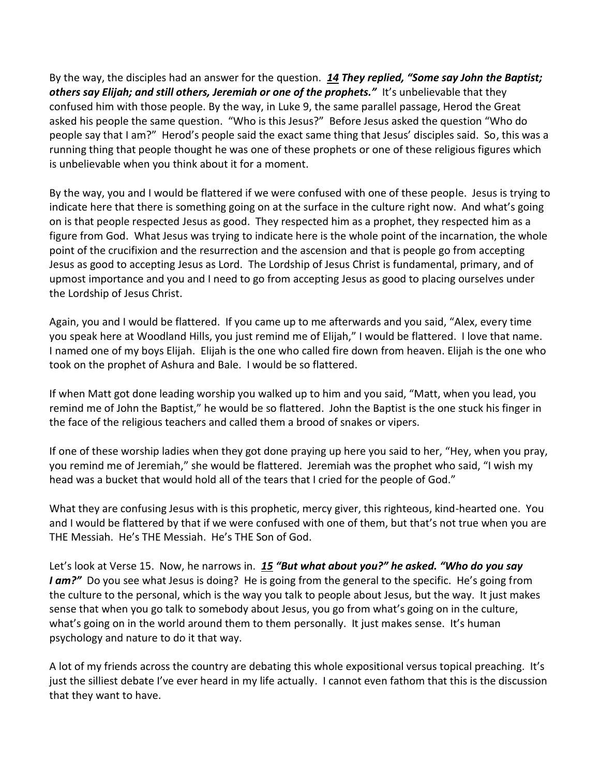By the way, the disciples had an answer for the question. *[14](http://www.studylight.org/desk/?q=mt%2016:14&t1=en_niv&sr=1) They replied, "Some say John the Baptist; others say Elijah; and still others, Jeremiah or one of the prophets."* It's unbelievable that they confused him with those people. By the way, in Luke 9, the same parallel passage, Herod the Great asked his people the same question. "Who is this Jesus?" Before Jesus asked the question "Who do people say that I am?" Herod's people said the exact same thing that Jesus' disciples said. So, this was a running thing that people thought he was one of these prophets or one of these religious figures which is unbelievable when you think about it for a moment.

By the way, you and I would be flattered if we were confused with one of these people. Jesus is trying to indicate here that there is something going on at the surface in the culture right now. And what's going on is that people respected Jesus as good. They respected him as a prophet, they respected him as a figure from God. What Jesus was trying to indicate here is the whole point of the incarnation, the whole point of the crucifixion and the resurrection and the ascension and that is people go from accepting Jesus as good to accepting Jesus as Lord. The Lordship of Jesus Christ is fundamental, primary, and of upmost importance and you and I need to go from accepting Jesus as good to placing ourselves under the Lordship of Jesus Christ.

Again, you and I would be flattered. If you came up to me afterwards and you said, "Alex, every time you speak here at Woodland Hills, you just remind me of Elijah," I would be flattered. I love that name. I named one of my boys Elijah. Elijah is the one who called fire down from heaven. Elijah is the one who took on the prophet of Ashura and Bale. I would be so flattered.

If when Matt got done leading worship you walked up to him and you said, "Matt, when you lead, you remind me of John the Baptist," he would be so flattered. John the Baptist is the one stuck his finger in the face of the religious teachers and called them a brood of snakes or vipers.

If one of these worship ladies when they got done praying up here you said to her, "Hey, when you pray, you remind me of Jeremiah," she would be flattered. Jeremiah was the prophet who said, "I wish my head was a bucket that would hold all of the tears that I cried for the people of God."

What they are confusing Jesus with is this prophetic, mercy giver, this righteous, kind-hearted one. You and I would be flattered by that if we were confused with one of them, but that's not true when you are THE Messiah. He's THE Messiah. He's THE Son of God.

Let's look at Verse 15. Now, he narrows in. *[15](http://www.studylight.org/desk/?q=mt%2016:15&t1=en_niv&sr=1) "But what about you?" he asked. "Who do you say I am?"* Do you see what Jesus is doing? He is going from the general to the specific. He's going from the culture to the personal, which is the way you talk to people about Jesus, but the way. It just makes sense that when you go talk to somebody about Jesus, you go from what's going on in the culture, what's going on in the world around them to them personally. It just makes sense. It's human psychology and nature to do it that way.

A lot of my friends across the country are debating this whole expositional versus topical preaching. It's just the silliest debate I've ever heard in my life actually. I cannot even fathom that this is the discussion that they want to have.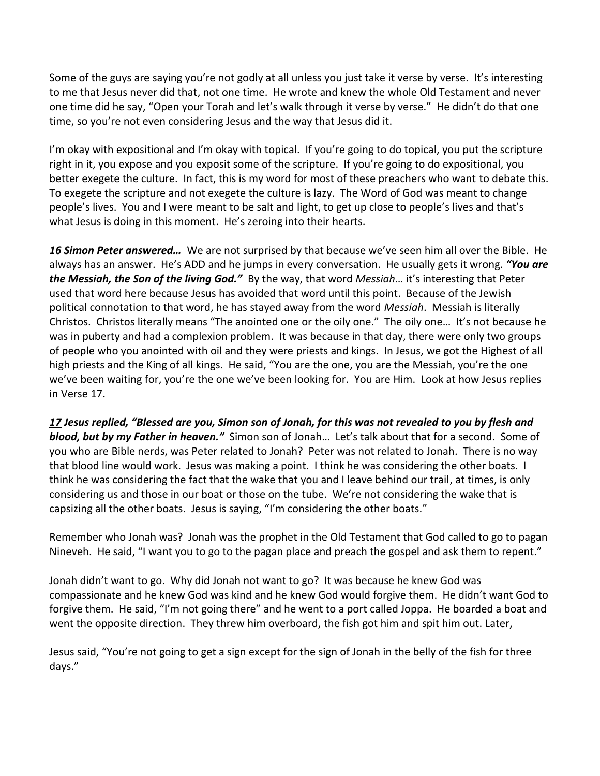Some of the guys are saying you're not godly at all unless you just take it verse by verse. It's interesting to me that Jesus never did that, not one time. He wrote and knew the whole Old Testament and never one time did he say, "Open your Torah and let's walk through it verse by verse." He didn't do that one time, so you're not even considering Jesus and the way that Jesus did it.

I'm okay with expositional and I'm okay with topical. If you're going to do topical, you put the scripture right in it, you expose and you exposit some of the scripture. If you're going to do expositional, you better exegete the culture. In fact, this is my word for most of these preachers who want to debate this. To exegete the scripture and not exegete the culture is lazy. The Word of God was meant to change people's lives. You and I were meant to be salt and light, to get up close to people's lives and that's what Jesus is doing in this moment. He's zeroing into their hearts.

*[16](http://www.studylight.org/desk/?q=mt%2016:16&t1=en_niv&sr=1) Simon Peter answered…* We are not surprised by that because we've seen him all over the Bible. He always has an answer. He's ADD and he jumps in every conversation. He usually gets it wrong. *"You are the Messiah, the Son of the living God."* By the way, that word *Messiah*… it's interesting that Peter used that word here because Jesus has avoided that word until this point. Because of the Jewish political connotation to that word, he has stayed away from the word *Messiah*. Messiah is literally Christos. Christos literally means "The anointed one or the oily one." The oily one… It's not because he was in puberty and had a complexion problem. It was because in that day, there were only two groups of people who you anointed with oil and they were priests and kings. In Jesus, we got the Highest of all high priests and the King of all kings. He said, "You are the one, you are the Messiah, you're the one we've been waiting for, you're the one we've been looking for. You are Him. Look at how Jesus replies in Verse 17.

*[17](http://www.studylight.org/desk/?q=mt%2016:17&t1=en_niv&sr=1) Jesus replied, "Blessed are you, Simon son of Jonah, for this was not revealed to you by flesh and blood, but by my Father in heaven."* Simon son of Jonah… Let's talk about that for a second. Some of you who are Bible nerds, was Peter related to Jonah? Peter was not related to Jonah. There is no way that blood line would work. Jesus was making a point. I think he was considering the other boats. I think he was considering the fact that the wake that you and I leave behind our trail, at times, is only considering us and those in our boat or those on the tube. We're not considering the wake that is capsizing all the other boats. Jesus is saying, "I'm considering the other boats."

Remember who Jonah was? Jonah was the prophet in the Old Testament that God called to go to pagan Nineveh. He said, "I want you to go to the pagan place and preach the gospel and ask them to repent."

Jonah didn't want to go. Why did Jonah not want to go? It was because he knew God was compassionate and he knew God was kind and he knew God would forgive them. He didn't want God to forgive them. He said, "I'm not going there" and he went to a port called Joppa. He boarded a boat and went the opposite direction. They threw him overboard, the fish got him and spit him out. Later,

Jesus said, "You're not going to get a sign except for the sign of Jonah in the belly of the fish for three days."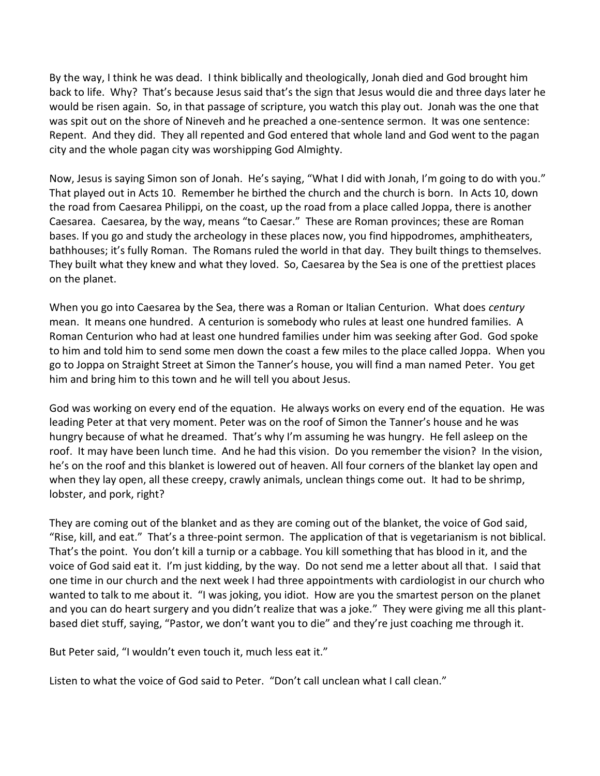By the way, I think he was dead. I think biblically and theologically, Jonah died and God brought him back to life. Why? That's because Jesus said that's the sign that Jesus would die and three days later he would be risen again. So, in that passage of scripture, you watch this play out. Jonah was the one that was spit out on the shore of Nineveh and he preached a one-sentence sermon. It was one sentence: Repent. And they did. They all repented and God entered that whole land and God went to the pagan city and the whole pagan city was worshipping God Almighty.

Now, Jesus is saying Simon son of Jonah. He's saying, "What I did with Jonah, I'm going to do with you." That played out in Acts 10. Remember he birthed the church and the church is born. In Acts 10, down the road from Caesarea Philippi, on the coast, up the road from a place called Joppa, there is another Caesarea. Caesarea, by the way, means "to Caesar." These are Roman provinces; these are Roman bases. If you go and study the archeology in these places now, you find hippodromes, amphitheaters, bathhouses; it's fully Roman. The Romans ruled the world in that day. They built things to themselves. They built what they knew and what they loved. So, Caesarea by the Sea is one of the prettiest places on the planet.

When you go into Caesarea by the Sea, there was a Roman or Italian Centurion. What does *century* mean. It means one hundred. A centurion is somebody who rules at least one hundred families. A Roman Centurion who had at least one hundred families under him was seeking after God. God spoke to him and told him to send some men down the coast a few miles to the place called Joppa. When you go to Joppa on Straight Street at Simon the Tanner's house, you will find a man named Peter. You get him and bring him to this town and he will tell you about Jesus.

God was working on every end of the equation. He always works on every end of the equation. He was leading Peter at that very moment. Peter was on the roof of Simon the Tanner's house and he was hungry because of what he dreamed. That's why I'm assuming he was hungry. He fell asleep on the roof. It may have been lunch time. And he had this vision. Do you remember the vision? In the vision, he's on the roof and this blanket is lowered out of heaven. All four corners of the blanket lay open and when they lay open, all these creepy, crawly animals, unclean things come out. It had to be shrimp, lobster, and pork, right?

They are coming out of the blanket and as they are coming out of the blanket, the voice of God said, "Rise, kill, and eat." That's a three-point sermon. The application of that is vegetarianism is not biblical. That's the point. You don't kill a turnip or a cabbage. You kill something that has blood in it, and the voice of God said eat it. I'm just kidding, by the way. Do not send me a letter about all that. I said that one time in our church and the next week I had three appointments with cardiologist in our church who wanted to talk to me about it. "I was joking, you idiot. How are you the smartest person on the planet and you can do heart surgery and you didn't realize that was a joke." They were giving me all this plantbased diet stuff, saying, "Pastor, we don't want you to die" and they're just coaching me through it.

But Peter said, "I wouldn't even touch it, much less eat it."

Listen to what the voice of God said to Peter. "Don't call unclean what I call clean."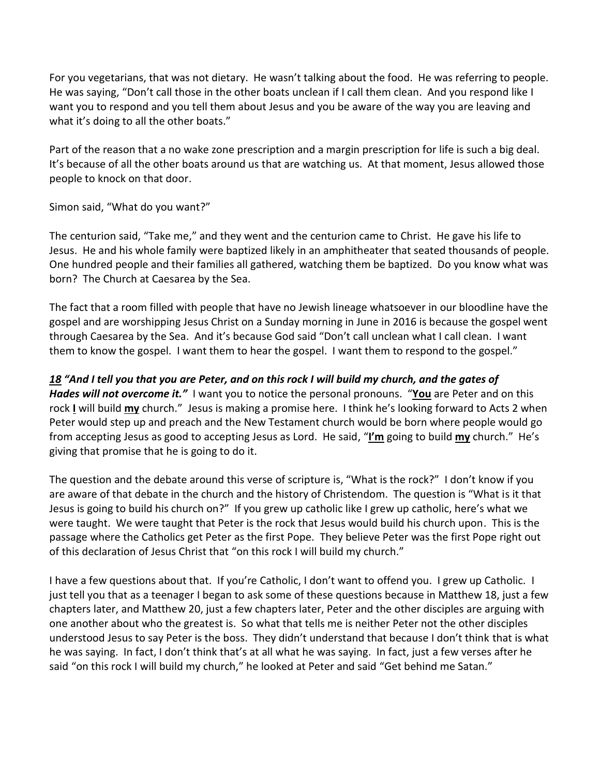For you vegetarians, that was not dietary. He wasn't talking about the food. He was referring to people. He was saying, "Don't call those in the other boats unclean if I call them clean. And you respond like I want you to respond and you tell them about Jesus and you be aware of the way you are leaving and what it's doing to all the other boats."

Part of the reason that a no wake zone prescription and a margin prescription for life is such a big deal. It's because of all the other boats around us that are watching us. At that moment, Jesus allowed those people to knock on that door.

Simon said, "What do you want?"

The centurion said, "Take me," and they went and the centurion came to Christ. He gave his life to Jesus. He and his whole family were baptized likely in an amphitheater that seated thousands of people. One hundred people and their families all gathered, watching them be baptized. Do you know what was born? The Church at Caesarea by the Sea.

The fact that a room filled with people that have no Jewish lineage whatsoever in our bloodline have the gospel and are worshipping Jesus Christ on a Sunday morning in June in 2016 is because the gospel went through Caesarea by the Sea. And it's because God said "Don't call unclean what I call clean. I want them to know the gospel. I want them to hear the gospel. I want them to respond to the gospel."

## *[18](http://www.studylight.org/desk/?q=mt%2016:18&t1=en_niv&sr=1) "And I tell you that you are Peter, and on this rock I will build my church, and the gates of*

*Hades will not overcome it.*<sup>*"*</sup> I want you to notice the personal pronouns. "You are Peter and on this rock **I** will build **my** church." Jesus is making a promise here. I think he's looking forward to Acts 2 when Peter would step up and preach and the New Testament church would be born where people would go from accepting Jesus as good to accepting Jesus as Lord. He said, "**I'm** going to build **my** church." He's giving that promise that he is going to do it.

The question and the debate around this verse of scripture is, "What is the rock?" I don't know if you are aware of that debate in the church and the history of Christendom. The question is "What is it that Jesus is going to build his church on?" If you grew up catholic like I grew up catholic, here's what we were taught. We were taught that Peter is the rock that Jesus would build his church upon. This is the passage where the Catholics get Peter as the first Pope. They believe Peter was the first Pope right out of this declaration of Jesus Christ that "on this rock I will build my church."

I have a few questions about that. If you're Catholic, I don't want to offend you. I grew up Catholic. I just tell you that as a teenager I began to ask some of these questions because in Matthew 18, just a few chapters later, and Matthew 20, just a few chapters later, Peter and the other disciples are arguing with one another about who the greatest is. So what that tells me is neither Peter not the other disciples understood Jesus to say Peter is the boss. They didn't understand that because I don't think that is what he was saying. In fact, I don't think that's at all what he was saying. In fact, just a few verses after he said "on this rock I will build my church," he looked at Peter and said "Get behind me Satan."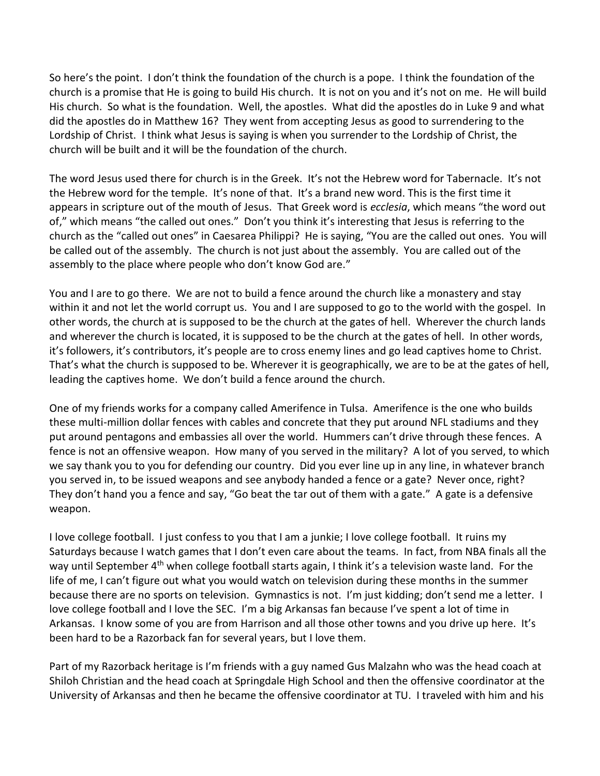So here's the point. I don't think the foundation of the church is a pope. I think the foundation of the church is a promise that He is going to build His church. It is not on you and it's not on me. He will build His church. So what is the foundation. Well, the apostles. What did the apostles do in Luke 9 and what did the apostles do in Matthew 16? They went from accepting Jesus as good to surrendering to the Lordship of Christ. I think what Jesus is saying is when you surrender to the Lordship of Christ, the church will be built and it will be the foundation of the church.

The word Jesus used there for church is in the Greek. It's not the Hebrew word for Tabernacle. It's not the Hebrew word for the temple. It's none of that. It's a brand new word. This is the first time it appears in scripture out of the mouth of Jesus. That Greek word is *ecclesia*, which means "the word out of," which means "the called out ones." Don't you think it's interesting that Jesus is referring to the church as the "called out ones" in Caesarea Philippi? He is saying, "You are the called out ones. You will be called out of the assembly. The church is not just about the assembly. You are called out of the assembly to the place where people who don't know God are."

You and I are to go there. We are not to build a fence around the church like a monastery and stay within it and not let the world corrupt us. You and I are supposed to go to the world with the gospel. In other words, the church at is supposed to be the church at the gates of hell. Wherever the church lands and wherever the church is located, it is supposed to be the church at the gates of hell. In other words, it's followers, it's contributors, it's people are to cross enemy lines and go lead captives home to Christ. That's what the church is supposed to be. Wherever it is geographically, we are to be at the gates of hell, leading the captives home. We don't build a fence around the church.

One of my friends works for a company called Amerifence in Tulsa. Amerifence is the one who builds these multi-million dollar fences with cables and concrete that they put around NFL stadiums and they put around pentagons and embassies all over the world. Hummers can't drive through these fences. A fence is not an offensive weapon. How many of you served in the military? A lot of you served, to which we say thank you to you for defending our country. Did you ever line up in any line, in whatever branch you served in, to be issued weapons and see anybody handed a fence or a gate? Never once, right? They don't hand you a fence and say, "Go beat the tar out of them with a gate." A gate is a defensive weapon.

I love college football. I just confess to you that I am a junkie; I love college football. It ruins my Saturdays because I watch games that I don't even care about the teams. In fact, from NBA finals all the way until September 4<sup>th</sup> when college football starts again, I think it's a television waste land. For the life of me, I can't figure out what you would watch on television during these months in the summer because there are no sports on television. Gymnastics is not. I'm just kidding; don't send me a letter. I love college football and I love the SEC. I'm a big Arkansas fan because I've spent a lot of time in Arkansas. I know some of you are from Harrison and all those other towns and you drive up here. It's been hard to be a Razorback fan for several years, but I love them.

Part of my Razorback heritage is I'm friends with a guy named Gus Malzahn who was the head coach at Shiloh Christian and the head coach at Springdale High School and then the offensive coordinator at the University of Arkansas and then he became the offensive coordinator at TU. I traveled with him and his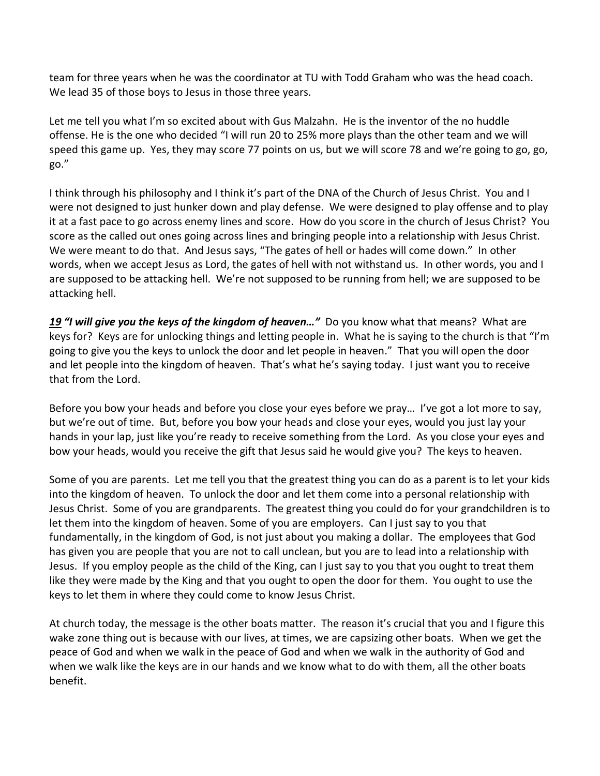team for three years when he was the coordinator at TU with Todd Graham who was the head coach. We lead 35 of those boys to Jesus in those three years.

Let me tell you what I'm so excited about with Gus Malzahn. He is the inventor of the no huddle offense. He is the one who decided "I will run 20 to 25% more plays than the other team and we will speed this game up. Yes, they may score 77 points on us, but we will score 78 and we're going to go, go, go."

I think through his philosophy and I think it's part of the DNA of the Church of Jesus Christ. You and I were not designed to just hunker down and play defense. We were designed to play offense and to play it at a fast pace to go across enemy lines and score. How do you score in the church of Jesus Christ? You score as the called out ones going across lines and bringing people into a relationship with Jesus Christ. We were meant to do that. And Jesus says, "The gates of hell or hades will come down." In other words, when we accept Jesus as Lord, the gates of hell with not withstand us. In other words, you and I are supposed to be attacking hell. We're not supposed to be running from hell; we are supposed to be attacking hell.

*[19](http://www.studylight.org/desk/?q=mt%2016:19&t1=en_niv&sr=1) "I will give you the keys of the kingdom of heaven…"* Do you know what that means? What are keys for? Keys are for unlocking things and letting people in. What he is saying to the church is that "I'm going to give you the keys to unlock the door and let people in heaven." That you will open the door and let people into the kingdom of heaven. That's what he's saying today. I just want you to receive that from the Lord.

Before you bow your heads and before you close your eyes before we pray… I've got a lot more to say, but we're out of time. But, before you bow your heads and close your eyes, would you just lay your hands in your lap, just like you're ready to receive something from the Lord. As you close your eyes and bow your heads, would you receive the gift that Jesus said he would give you? The keys to heaven.

Some of you are parents. Let me tell you that the greatest thing you can do as a parent is to let your kids into the kingdom of heaven. To unlock the door and let them come into a personal relationship with Jesus Christ. Some of you are grandparents. The greatest thing you could do for your grandchildren is to let them into the kingdom of heaven. Some of you are employers. Can I just say to you that fundamentally, in the kingdom of God, is not just about you making a dollar. The employees that God has given you are people that you are not to call unclean, but you are to lead into a relationship with Jesus. If you employ people as the child of the King, can I just say to you that you ought to treat them like they were made by the King and that you ought to open the door for them. You ought to use the keys to let them in where they could come to know Jesus Christ.

At church today, the message is the other boats matter. The reason it's crucial that you and I figure this wake zone thing out is because with our lives, at times, we are capsizing other boats. When we get the peace of God and when we walk in the peace of God and when we walk in the authority of God and when we walk like the keys are in our hands and we know what to do with them, all the other boats benefit.